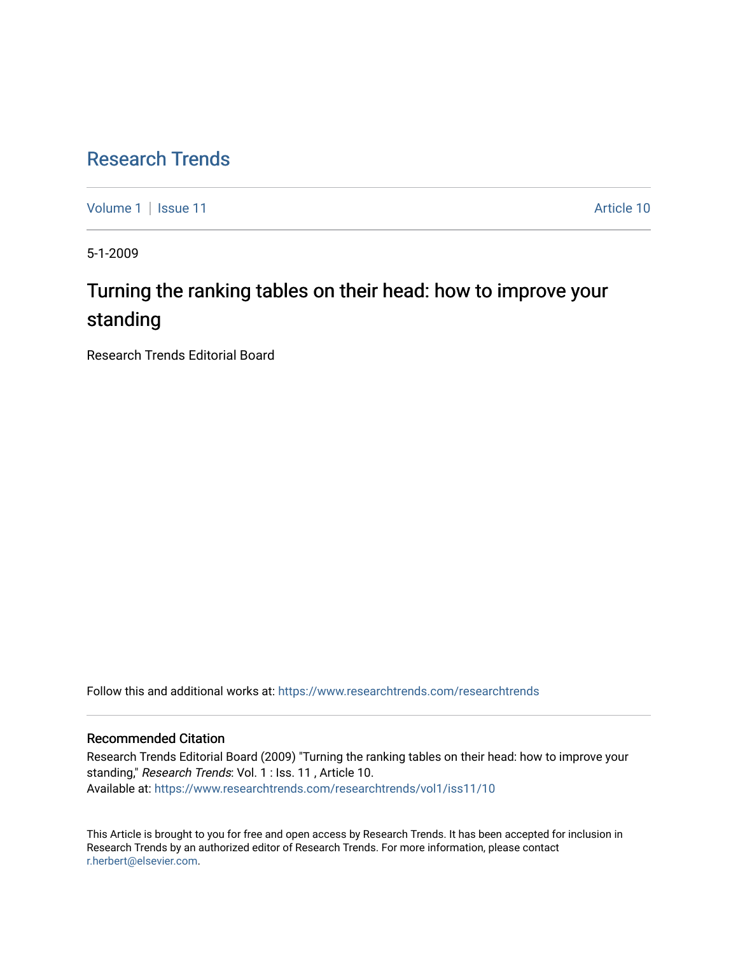# [Research Trends](https://www.researchtrends.com/researchtrends)

[Volume 1](https://www.researchtrends.com/researchtrends/vol1) | [Issue 11](https://www.researchtrends.com/researchtrends/vol1/iss11) Article 10

5-1-2009

# Turning the ranking tables on their head: how to improve your standing

Research Trends Editorial Board

Follow this and additional works at: [https://www.researchtrends.com/researchtrends](https://www.researchtrends.com/researchtrends?utm_source=www.researchtrends.com%2Fresearchtrends%2Fvol1%2Fiss11%2F10&utm_medium=PDF&utm_campaign=PDFCoverPages) 

## Recommended Citation

Research Trends Editorial Board (2009) "Turning the ranking tables on their head: how to improve your standing," Research Trends: Vol. 1 : Iss. 11, Article 10. Available at: [https://www.researchtrends.com/researchtrends/vol1/iss11/10](https://www.researchtrends.com/researchtrends/vol1/iss11/10?utm_source=www.researchtrends.com%2Fresearchtrends%2Fvol1%2Fiss11%2F10&utm_medium=PDF&utm_campaign=PDFCoverPages) 

This Article is brought to you for free and open access by Research Trends. It has been accepted for inclusion in Research Trends by an authorized editor of Research Trends. For more information, please contact [r.herbert@elsevier.com.](mailto:r.herbert@elsevier.com)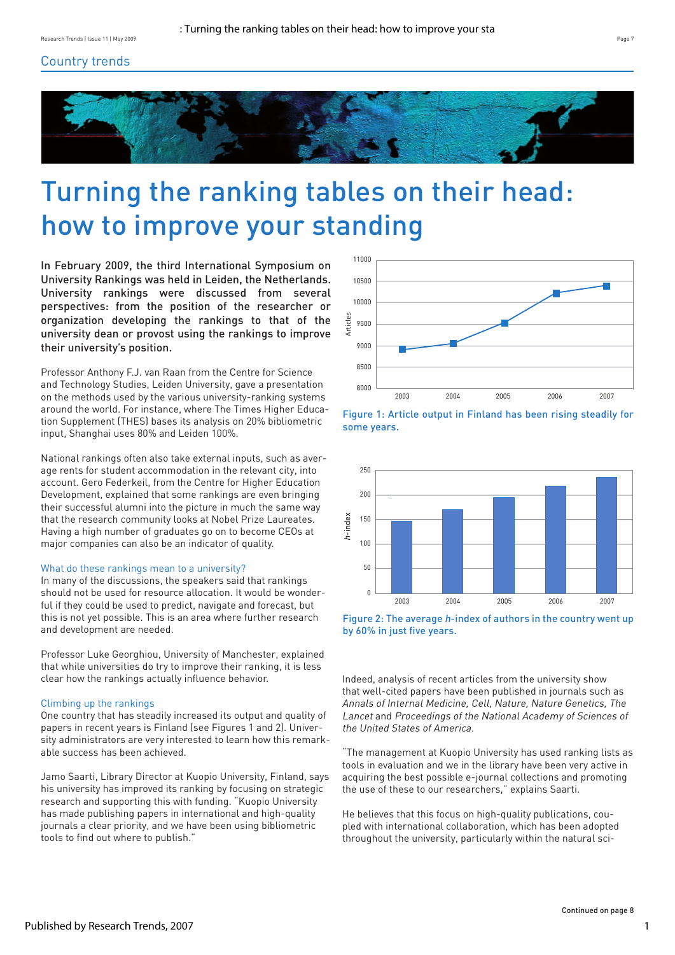# Country trends



# Turning the ranking tables on their head: how to improve your standing

In February 2009, the third International Symposium on University Rankings was held in Leiden, the Netherlands. University rankings were discussed from several perspectives: from the position of the researcher or organization developing the rankings to that of the university dean or provost using the rankings to improve their university's position.

Professor Anthony F.J. van Raan from the Centre for Science and Technology Studies, Leiden University, gave a presentation on the methods used by the various university-ranking systems around the world. For instance, where The Times Higher Education Supplement (THES) bases its analysis on 20% bibliometric input, Shanghai uses 80% and Leiden 100%.

National rankings often also take external inputs, such as average rents for student accommodation in the relevant city, into account. Gero Federkeil, from the Centre for Higher Education Development, explained that some rankings are even bringing their successful alumni into the picture in much the same way that the research community looks at Nobel Prize Laureates. Having a high number of graduates go on to become CEOs at major companies can also be an indicator of quality.

#### What do these rankings mean to a university?

In many of the discussions, the speakers said that rankings should not be used for resource allocation. It would be wonderful if they could be used to predict, navigate and forecast, but this is not yet possible. This is an area where further research and development are needed.

Professor Luke Georghiou, University of Manchester, explained that while universities do try to improve their ranking, it is less clear how the rankings actually influence behavior.

#### Climbing up the rankings

One country that has steadily increased its output and quality of papers in recent years is Finland (see Figures 1 and 2). University administrators are very interested to learn how this remarkable success has been achieved.

Jamo Saarti, Library Director at Kuopio University, Finland, says his university has improved its ranking by focusing on strategic research and supporting this with funding. "Kuopio University has made publishing papers in international and high-quality journals a clear priority, and we have been using bibliometric tools to find out where to publish."



Figure 1: Article output in Finland has been rising steadily for some years.



Figure 2: The average h-index of authors in the country went up by 60% in just five years.

Indeed, analysis of recent articles from the university show that well-cited papers have been published in journals such as Annals of Internal Medicine, Cell, Nature, Nature Genetics, The Lancet and Proceedings of the National Academy of Sciences of the United States of America.

"The management at Kuopio University has used ranking lists as tools in evaluation and we in the library have been very active in acquiring the best possible e-journal collections and promoting the use of these to our researchers," explains Saarti.

He believes that this focus on high-quality publications, coupled with international collaboration, which has been adopted throughout the university, particularly within the natural sci-